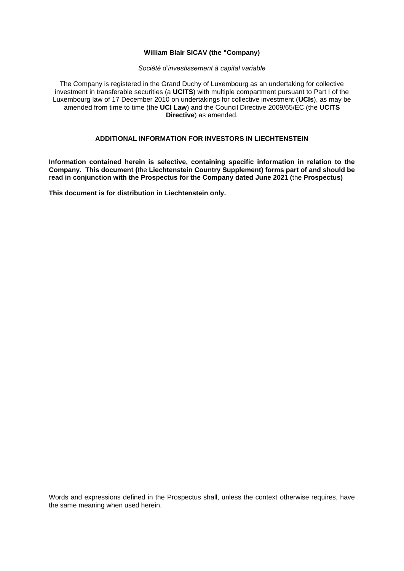## **William Blair SICAV (the "Company)**

#### *Société d'investissement à capital variable*

The Company is registered in the Grand Duchy of Luxembourg as an undertaking for collective investment in transferable securities (a **UCITS**) with multiple compartment pursuant to Part I of the Luxembourg law of 17 December 2010 on undertakings for collective investment (**UCIs**), as may be amended from time to time (the **UCI Law**) and the Council Directive 2009/65/EC (the **UCITS Directive**) as amended.

# **ADDITIONAL INFORMATION FOR INVESTORS IN LIECHTENSTEIN**

**Information contained herein is selective, containing specific information in relation to the Company. This document (**the **Liechtenstein Country Supplement) forms part of and should be read in conjunction with the Prospectus for the Company dated June 2021 (**the **Prospectus)**

**This document is for distribution in Liechtenstein only.**

Words and expressions defined in the Prospectus shall, unless the context otherwise requires, have the same meaning when used herein.